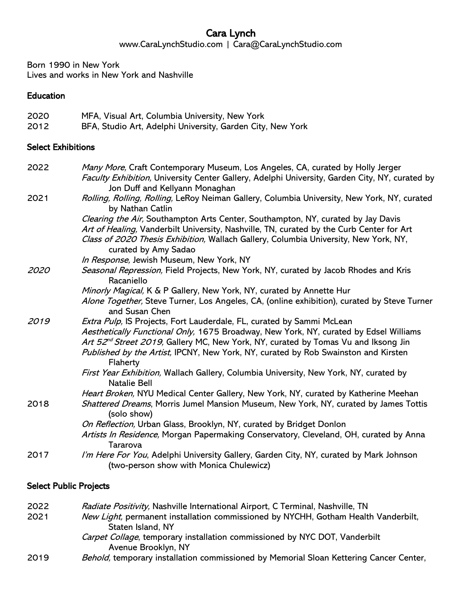# Cara Lynch

www.CaraLynchStudio.com | Cara@CaraLynchStudio.com

Born 1990 in New York Lives and works in New York and Nashville

#### Education

| 2020 | MFA, Visual Art, Columbia University, New York             |
|------|------------------------------------------------------------|
| 2012 | BFA, Studio Art, Adelphi University, Garden City, New York |

#### Select Exhibitions

| 2022        | Many More, Craft Contemporary Museum, Los Angeles, CA, curated by Holly Jerger                                                    |
|-------------|-----------------------------------------------------------------------------------------------------------------------------------|
|             | Faculty Exhibition, University Center Gallery, Adelphi University, Garden City, NY, curated by<br>Jon Duff and Kellyann Monaghan  |
| 2021        | Rolling, Rolling, Rolling, LeRoy Neiman Gallery, Columbia University, New York, NY, curated<br>by Nathan Catlin                   |
|             | Clearing the Air, Southampton Arts Center, Southampton, NY, curated by Jay Davis                                                  |
|             | Art of Healing, Vanderbilt University, Nashville, TN, curated by the Curb Center for Art                                          |
|             | Class of 2020 Thesis Exhibition, Wallach Gallery, Columbia University, New York, NY,<br>curated by Amy Sadao                      |
|             | In Response, Jewish Museum, New York, NY                                                                                          |
| <i>2020</i> | Seasonal Repression, Field Projects, New York, NY, curated by Jacob Rhodes and Kris<br>Racaniello                                 |
|             | Minorly Magical, K & P Gallery, New York, NY, curated by Annette Hur                                                              |
|             | Alone Together, Steve Turner, Los Angeles, CA, (online exhibition), curated by Steve Turner<br>and Susan Chen                     |
| 2019        | Extra Pulp, IS Projects, Fort Lauderdale, FL, curated by Sammi McLean                                                             |
|             | Aesthetically Functional Only, 1675 Broadway, New York, NY, curated by Edsel Williams                                             |
|             | Art 52 <sup>nd</sup> Street 2019, Gallery MC, New York, NY, curated by Tomas Vu and Iksong Jin                                    |
|             | Published by the Artist, IPCNY, New York, NY, curated by Rob Swainston and Kirsten<br>Flaherty                                    |
|             | First Year Exhibition, Wallach Gallery, Columbia University, New York, NY, curated by<br><b>Natalie Bell</b>                      |
|             | Heart Broken, NYU Medical Center Gallery, New York, NY, curated by Katherine Meehan                                               |
| 2018        | Shattered Dreams, Morris Jumel Mansion Museum, New York, NY, curated by James Tottis<br>(solo show)                               |
|             | On Reflection, Urban Glass, Brooklyn, NY, curated by Bridget Donlon                                                               |
|             | Artists In Residence, Morgan Papermaking Conservatory, Cleveland, OH, curated by Anna<br>Tararova                                 |
| 2017        | I'm Here For You, Adelphi University Gallery, Garden City, NY, curated by Mark Johnson<br>(two-person show with Monica Chulewicz) |
|             |                                                                                                                                   |

## Select Public Projects

| 2022 | Radiate Positivity, Nashville International Airport, C Terminal, Nashville, TN     |
|------|------------------------------------------------------------------------------------|
| 2021 | New Light, permanent installation commissioned by NYCHH, Gotham Health Vanderbilt, |
|      | Staten Island, NY                                                                  |
|      | <i>Carpet Collage</i> , temporary installation commissioned by NYC DOT, Vanderbilt |
|      | Avenue Brooklyn, NY                                                                |

2019 Behold, temporary installation commissioned by Memorial Sloan Kettering Cancer Center,